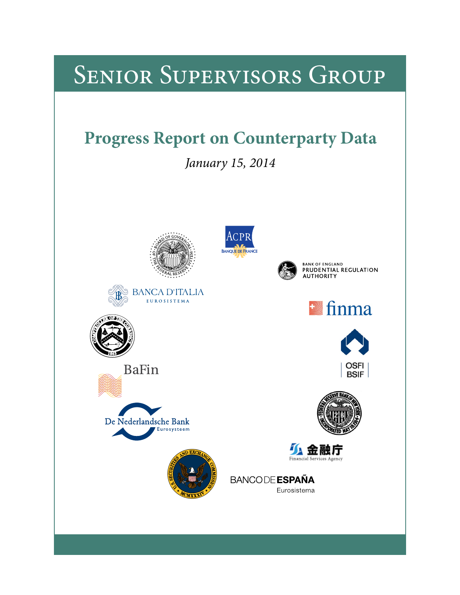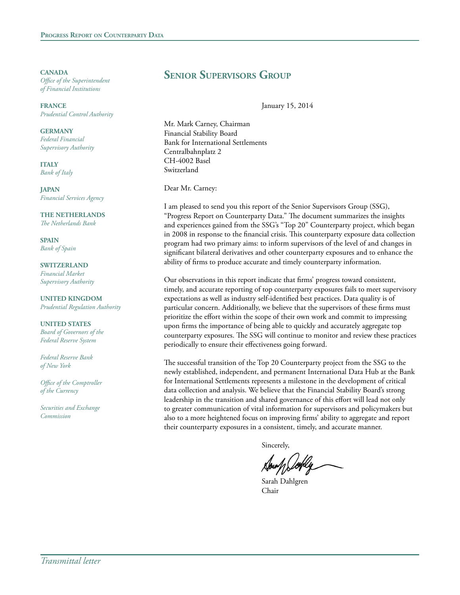**CANADA** *Office of the Superintendent of Financial Institutions*

**FRANCE** *Prudential Control Authority*

**GERMANY** *Federal Financial Supervisory Authority*

**ITALY** *Bank of Italy*

**JAPAN** *Financial Services Agency*

**THE NETHERLANDS** *The Netherlands Bank*

**SPAIN** *Bank of Spain*

**SWITZERLAND** *Financial Market Supervisory Authority*

**UNITED KINGDOM** *Prudential Regulation Authority*

**UNITED STATES** *Board of Governors of the Federal Reserve System*

*Federal Reserve Bank of New York*

*Office of the Comptroller of the Currency*

*Securities and Exchange Commission*

# **Senior Supervisors Group**

January 15, 2014

Mr. Mark Carney, Chairman Financial Stability Board Bank for International Settlements Centralbahnplatz 2 CH-4002 Basel Switzerland

Dear Mr. Carney:

I am pleased to send you this report of the Senior Supervisors Group (SSG), "Progress Report on Counterparty Data." The document summarizes the insights and experiences gained from the SSG's "Top 20" Counterparty project, which began in 2008 in response to the financial crisis. This counterparty exposure data collection program had two primary aims: to inform supervisors of the level of and changes in significant bilateral derivatives and other counterparty exposures and to enhance the ability of firms to produce accurate and timely counterparty information.

Our observations in this report indicate that firms' progress toward consistent, timely, and accurate reporting of top counterparty exposures fails to meet supervisory expectations as well as industry self-identified best practices. Data quality is of particular concern. Additionally, we believe that the supervisors of these firms must prioritize the effort within the scope of their own work and commit to impressing upon firms the importance of being able to quickly and accurately aggregate top counterparty exposures. The SSG will continue to monitor and review these practices periodically to ensure their effectiveness going forward.

The successful transition of the Top 20 Counterparty project from the SSG to the newly established, independent, and permanent International Data Hub at the Bank for International Settlements represents a milestone in the development of critical data collection and analysis. We believe that the Financial Stability Board's strong leadership in the transition and shared governance of this effort will lead not only to greater communication of vital information for supervisors and policymakers but also to a more heightened focus on improving firms' ability to aggregate and report their counterparty exposures in a consistent, timely, and accurate manner.

Sincerely,

Sarah Dahlgren Chair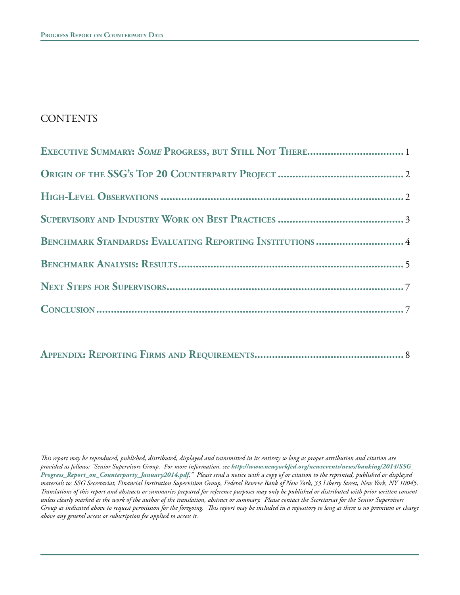# **CONTENTS**

| EXECUTIVE SUMMARY: SOME PROGRESS, BUT STILL NOT THERE 1  |  |
|----------------------------------------------------------|--|
|                                                          |  |
|                                                          |  |
|                                                          |  |
| BENCHMARK STANDARDS: EVALUATING REPORTING INSTITUTIONS 4 |  |
|                                                          |  |
|                                                          |  |
|                                                          |  |

# **Appendix: Reporting Firms and Requirements...................................................** 8

*This report may be reproduced, published, distributed, displayed and transmitted in its entirety so long as proper attribution and citation are provided as follows: "Senior Supervisors Group. For more information, see http://www.newyorkfed.org/newsevents/news/banking/2014/SSG\_ Progress\_Report\_on\_Counterparty\_January2014.pdf." Please send a notice with a copy of or citation to the reprinted, published or displayed materials to: SSG Secretariat, Financial Institution Supervision Group, Federal Reserve Bank of New York, 33 Liberty Street, New York, NY 10045. Translations of this report and abstracts or summaries prepared for reference purposes may only be published or distributed with prior written consent unless clearly marked as the work of the author of the translation, abstract or summary. Please contact the Secretariat for the Senior Supervisors Group as indicated above to request permission for the foregoing. This report may be included in a repository so long as there is no premium or charge above any general access or subscription fee applied to access it.*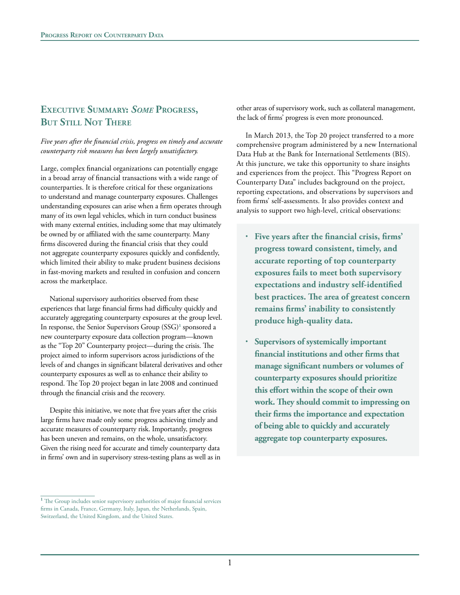# **Executive Summary:** *Some* **Progress, But Still Not There**

*Five years after the financial crisis, progress on timely and accurate counterparty risk measures has been largely unsatisfactory.*

Large, complex financial organizations can potentially engage in a broad array of financial transactions with a wide range of counterparties. It is therefore critical for these organizations to understand and manage counterparty exposures. Challenges understanding exposures can arise when a firm operates through many of its own legal vehicles, which in turn conduct business with many external entities, including some that may ultimately be owned by or affiliated with the same counterparty. Many firms discovered during the financial crisis that they could not aggregate counterparty exposures quickly and confidently, which limited their ability to make prudent business decisions in fast-moving markets and resulted in confusion and concern across the marketplace.

National supervisory authorities observed from these experiences that large financial firms had difficulty quickly and accurately aggregating counterparty exposures at the group level. In response, the Senior Supervisors Group (SSG)<sup>1</sup> sponsored a new counterparty exposure data collection program—known as the "Top 20" Counterparty project—during the crisis. The project aimed to inform supervisors across jurisdictions of the levels of and changes in significant bilateral derivatives and other counterparty exposures as well as to enhance their ability to respond. The Top 20 project began in late 2008 and continued through the financial crisis and the recovery.

Despite this initiative, we note that five years after the crisis large firms have made only some progress achieving timely and accurate measures of counterparty risk. Importantly, progress has been uneven and remains, on the whole, unsatisfactory. Given the rising need for accurate and timely counterparty data in firms' own and in supervisory stress-testing plans as well as in

<sup>1</sup> The Group includes senior supervisory authorities of major financial services firms in Canada, France, Germany, Italy, Japan, the Netherlands, Spain, Switzerland, the United Kingdom, and the United States.

other areas of supervisory work, such as collateral management, the lack of firms' progress is even more pronounced.

In March 2013, the Top 20 project transferred to a more comprehensive program administered by a new International Data Hub at the Bank for International Settlements (BIS). At this juncture, we take this opportunity to share insights and experiences from the project. This "Progress Report on Counterparty Data" includes background on the project, reporting expectations, and observations by supervisors and from firms' self-assessments. It also provides context and analysis to support two high-level, critical observations:

- <sup>l</sup> **Five years after the financial crisis, firms' progress toward consistent, timely, and accurate reporting of top counterparty exposures fails to meet both supervisory expectations and industry self-identified best practices. The area of greatest concern remains firms' inability to consistently produce high-quality data.**
- <sup>l</sup> **Supervisors of systemically important financial institutions and other firms that manage significant numbers or volumes of counterparty exposures should prioritize this effort within the scope of their own work. They should commit to impressing on their firms the importance and expectation of being able to quickly and accurately aggregate top counterparty exposures.**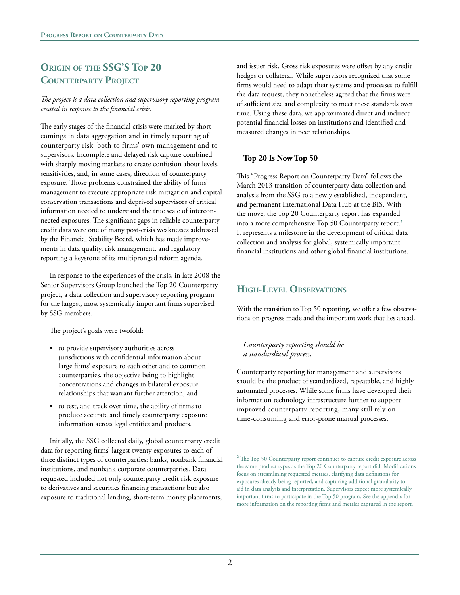# **Origin of the SSG'S Top 20 Counterparty Project**

#### *The project is a data collection and supervisory reporting program created in response to the financial crisis.*

The early stages of the financial crisis were marked by shortcomings in data aggregation and in timely reporting of counterparty risk–both to firms' own management and to supervisors. Incomplete and delayed risk capture combined with sharply moving markets to create confusion about levels, sensitivities, and, in some cases, direction of counterparty exposure. Those problems constrained the ability of firms' management to execute appropriate risk mitigation and capital conservation transactions and deprived supervisors of critical information needed to understand the true scale of interconnected exposures. The significant gaps in reliable counterparty credit data were one of many post-crisis weaknesses addressed by the Financial Stability Board, which has made improvements in data quality, risk management, and regulatory reporting a keystone of its multipronged reform agenda.

In response to the experiences of the crisis, in late 2008 the Senior Supervisors Group launched the Top 20 Counterparty project, a data collection and supervisory reporting program for the largest, most systemically important firms supervised by SSG members.

The project's goals were twofold:

- to provide supervisory authorities across jurisdictions with confidential information about large firms' exposure to each other and to common counterparties, the objective being to highlight concentrations and changes in bilateral exposure relationships that warrant further attention; and
- to test, and track over time, the ability of firms to produce accurate and timely counterparty exposure information across legal entities and products.

Initially, the SSG collected daily, global counterparty credit data for reporting firms' largest twenty exposures to each of three distinct types of counterparties: banks, nonbank financial institutions, and nonbank corporate counterparties. Data requested included not only counterparty credit risk exposure to derivatives and securities financing transactions but also exposure to traditional lending, short-term money placements,

and issuer risk. Gross risk exposures were offset by any credit hedges or collateral. While supervisors recognized that some firms would need to adapt their systems and processes to fulfill the data request, they nonetheless agreed that the firms were of sufficient size and complexity to meet these standards over time. Using these data, we approximated direct and indirect potential financial losses on institutions and identified and measured changes in peer relationships.

### **Top 20 Is Now Top 50**

This "Progress Report on Counterparty Data" follows the March 2013 transition of counterparty data collection and analysis from the SSG to a newly established, independent, and permanent International Data Hub at the BIS. With the move, the Top 20 Counterparty report has expanded into a more comprehensive Top 50 Counterparty report.**<sup>2</sup>** It represents a milestone in the development of critical data collection and analysis for global, systemically important financial institutions and other global financial institutions.

## **High-Level Observations**

With the transition to Top 50 reporting, we offer a few observations on progress made and the important work that lies ahead.

*Counterparty reporting should be a standardized process.*

Counterparty reporting for management and supervisors should be the product of standardized, repeatable, and highly automated processes. While some firms have developed their information technology infrastructure further to support improved counterparty reporting, many still rely on time-consuming and error-prone manual processes.

<sup>&</sup>lt;sup>2</sup> The Top 50 Counterparty report continues to capture credit exposure across the same product types as the Top 20 Counterparty report did. Modifications focus on streamlining requested metrics, clarifying data definitions for exposures already being reported, and capturing additional granularity to aid in data analysis and interpretation. Supervisors expect more systemically important firms to participate in the Top 50 program. See the appendix for more information on the reporting firms and metrics captured in the report.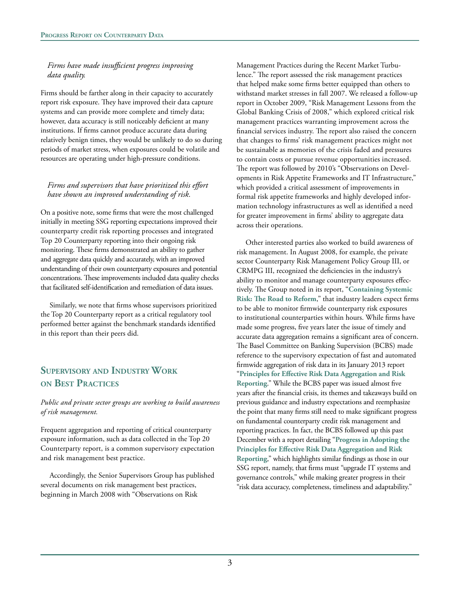### *Firms have made insufficient progress improving data quality.*

Firms should be farther along in their capacity to accurately report risk exposure. They have improved their data capture systems and can provide more complete and timely data; however, data accuracy is still noticeably deficient at many institutions. If firms cannot produce accurate data during relatively benign times, they would be unlikely to do so during periods of market stress, when exposures could be volatile and resources are operating under high-pressure conditions.

### *Firms and supervisors that have prioritized this effort have shown an improved understanding of risk.*

On a positive note, some firms that were the most challenged initially in meeting SSG reporting expectations improved their counterparty credit risk reporting processes and integrated Top 20 Counterparty reporting into their ongoing risk monitoring. These firms demonstrated an ability to gather and aggregate data quickly and accurately, with an improved understanding of their own counterparty exposures and potential concentrations. These improvements included data quality checks that facilitated self-identification and remediation of data issues.

Similarly, we note that firms whose supervisors prioritized the Top 20 Counterparty report as a critical regulatory tool performed better against the benchmark standards identified in this report than their peers did.

# **Supervisory and Industry Work on Best Practices**

#### *Public and private sector groups are working to build awareness of risk management.*

Frequent aggregation and reporting of critical counterparty exposure information, such as data collected in the Top 20 Counterparty report, is a common supervisory expectation and risk management best practice.

Accordingly, the Senior Supervisors Group has published several documents on risk management best practices, beginning in March 2008 with "Observations on Risk

Management Practices during the Recent Market Turbulence." The report assessed the risk management practices that helped make some firms better equipped than others to withstand market stresses in fall 2007. We released a follow-up report in October 2009, "Risk Management Lessons from the Global Banking Crisis of 2008," which explored critical risk management practices warranting improvement across the financial services industry. The report also raised the concern that changes to firms' risk management practices might not be sustainable as memories of the crisis faded and pressures to contain costs or pursue revenue opportunities increased. The report was followed by 2010's "Observations on Developments in Risk Appetite Frameworks and IT Infrastructure," which provided a critical assessment of improvements in formal risk appetite frameworks and highly developed information technology infrastructures as well as identified a need for greater improvement in firms' ability to aggregate data across their operations.

Other interested parties also worked to build awareness of risk management. In August 2008, for example, the private sector Counterparty Risk Management Policy Group III, or CRMPG III, recognized the deficiencies in the industry's ability to monitor and manage counterparty exposures effectively. The Group noted in its report, "**[Containing Systemic](http://www.crmpolicygroup.org/docs/CRMPG-III.pdf)  [Risk: The Road to Reform](http://www.crmpolicygroup.org/docs/CRMPG-III.pdf)**," that industry leaders expect firms to be able to monitor firmwide counterparty risk exposures to institutional counterparties within hours. While firms have made some progress, five years later the issue of timely and accurate data aggregation remains a significant area of concern. The Basel Committee on Banking Supervision (BCBS) made reference to the supervisory expectation of fast and automated firmwide aggregation of risk data in its January 2013 report "**[Principles for Effective Risk Data Aggregation and Risk](http://www.bis.org/publ/bcbs239.pdf)  [Reporting](http://www.bis.org/publ/bcbs239.pdf)**." While the BCBS paper was issued almost five years after the financial crisis, its themes and takeaways build on previous guidance and industry expectations and reemphasize the point that many firms still need to make significant progress on fundamental counterparty credit risk management and reporting practices. In fact, the BCBS followed up this past December with a report detailing "**[Progress in Adopting the](http://www.bis.org/publ/bcbs268.pdf)  [Principles for Effective Risk Data Aggregation and Risk](http://www.bis.org/publ/bcbs268.pdf)  [Reporting](http://www.bis.org/publ/bcbs268.pdf)**," which highlights similar findings as those in our SSG report, namely, that firms must "upgrade IT systems and governance controls," while making greater progress in their "risk data accuracy, completeness, timeliness and adaptability."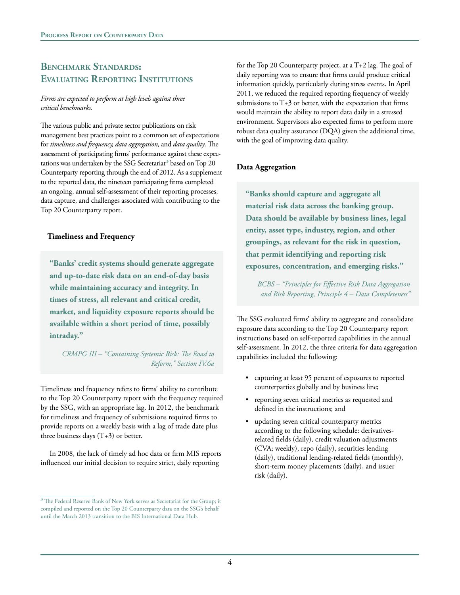## **Benchmark Standards: Evaluating Reporting Institutions**

#### *Firms are expected to perform at high levels against three critical benchmarks.*

The various public and private sector publications on risk management best practices point to a common set of expectations for *timeliness and frequency, data aggregation,* and *data quality*. The assessment of participating firms' performance against these expectations was undertaken by the SSG Secretariat**<sup>3</sup>** based on Top 20 Counterparty reporting through the end of 2012. As a supplement to the reported data, the nineteen participating firms completed an ongoing, annual self-assessment of their reporting processes, data capture, and challenges associated with contributing to the Top 20 Counterparty report.

### **Timeliness and Frequency**

**"Banks' credit systems should generate aggregate and up-to-date risk data on an end-of-day basis while maintaining accuracy and integrity. In times of stress, all relevant and critical credit, market, and liquidity exposure reports should be available within a short period of time, possibly intraday."**

*CRMPG III – "Containing Systemic Risk: The Road to Reform," Section IV.6a*

Timeliness and frequency refers to firms' ability to contribute to the Top 20 Counterparty report with the frequency required by the SSG, with an appropriate lag. In 2012, the benchmark for timeliness and frequency of submissions required firms to provide reports on a weekly basis with a lag of trade date plus three business days  $(T+3)$  or better.

In 2008, the lack of timely ad hoc data or firm MIS reports influenced our initial decision to require strict, daily reporting

for the Top 20 Counterparty project, at a T+2 lag. The goal of daily reporting was to ensure that firms could produce critical information quickly, particularly during stress events. In April 2011, we reduced the required reporting frequency of weekly submissions to  $T+3$  or better, with the expectation that firms would maintain the ability to report data daily in a stressed environment. Supervisors also expected firms to perform more robust data quality assurance (DQA) given the additional time, with the goal of improving data quality.

### **Data Aggregation**

**"Banks should capture and aggregate all material risk data across the banking group. Data should be available by business lines, legal entity, asset type, industry, region, and other groupings, as relevant for the risk in question, that permit identifying and reporting risk exposures, concentration, and emerging risks."**

*BCBS – "Principles for Effective Risk Data Aggregation and Risk Reporting, Principle 4 – Data Completeness"*

The SSG evaluated firms' ability to aggregate and consolidate exposure data according to the Top 20 Counterparty report instructions based on self-reported capabilities in the annual self-assessment. In 2012, the three criteria for data aggregation capabilities included the following:

- capturing at least 95 percent of exposures to reported counterparties globally and by business line;
- • reporting seven critical metrics as requested and defined in the instructions; and
- updating seven critical counterparty metrics according to the following schedule: derivativesrelated fields (daily), credit valuation adjustments (CVA; weekly), repo (daily), securities lending (daily), traditional lending-related fields (monthly), short-term money placements (daily), and issuer risk (daily).

**<sup>3</sup>** The Federal Reserve Bank of New York serves as Secretariat for the Group; it compiled and reported on the Top 20 Counterparty data on the SSG's behalf until the March 2013 transition to the BIS International Data Hub.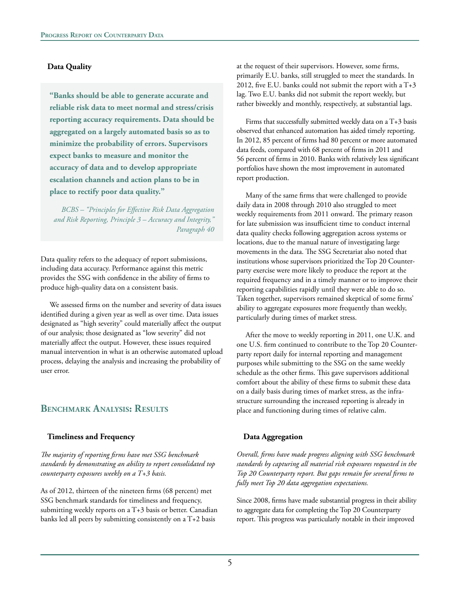#### **Data Quality**

**"Banks should be able to generate accurate and reliable risk data to meet normal and stress/crisis reporting accuracy requirements. Data should be aggregated on a largely automated basis so as to minimize the probability of errors. Supervisors expect banks to measure and monitor the accuracy of data and to develop appropriate escalation channels and action plans to be in place to rectify poor data quality."**

*BCBS – "Principles for Effective Risk Data Aggregation and Risk Reporting, Principle 3 – Accuracy and Integrity," Paragraph 40*

Data quality refers to the adequacy of report submissions, including data accuracy. Performance against this metric provides the SSG with confidence in the ability of firms to produce high-quality data on a consistent basis.

We assessed firms on the number and severity of data issues identified during a given year as well as over time. Data issues designated as "high severity" could materially affect the output of our analysis; those designated as "low severity" did not materially affect the output. However, these issues required manual intervention in what is an otherwise automated upload process, delaying the analysis and increasing the probability of user error.

## **Benchmark Analysis: Results**

#### **Timeliness and Frequency**

*The majority of reporting firms have met SSG benchmark standards by demonstrating an ability to report consolidated top counterparty exposures weekly on a T+3 basis.*

As of 2012, thirteen of the nineteen firms (68 percent) met SSG benchmark standards for timeliness and frequency, submitting weekly reports on a T+3 basis or better. Canadian banks led all peers by submitting consistently on a T+2 basis

at the request of their supervisors. However, some firms, primarily E.U. banks, still struggled to meet the standards. In 2012, five E.U. banks could not submit the report with a  $T+3$ lag. Two E.U. banks did not submit the report weekly, but rather biweekly and monthly, respectively, at substantial lags.

Firms that successfully submitted weekly data on a T+3 basis observed that enhanced automation has aided timely reporting. In 2012, 85 percent of firms had 80 percent or more automated data feeds, compared with 68 percent of firms in 2011 and 56 percent of firms in 2010. Banks with relatively less significant portfolios have shown the most improvement in automated report production.

Many of the same firms that were challenged to provide daily data in 2008 through 2010 also struggled to meet weekly requirements from 2011 onward. The primary reason for late submission was insufficient time to conduct internal data quality checks following aggregation across systems or locations, due to the manual nature of investigating large movements in the data. The SSG Secretariat also noted that institutions whose supervisors prioritized the Top 20 Counterparty exercise were more likely to produce the report at the required frequency and in a timely manner or to improve their reporting capabilities rapidly until they were able to do so. Taken together, supervisors remained skeptical of some firms' ability to aggregate exposures more frequently than weekly, particularly during times of market stress.

After the move to weekly reporting in 2011, one U.K. and one U.S. firm continued to contribute to the Top 20 Counterparty report daily for internal reporting and management purposes while submitting to the SSG on the same weekly schedule as the other firms. This gave supervisors additional comfort about the ability of these firms to submit these data on a daily basis during times of market stress, as the infrastructure surrounding the increased reporting is already in place and functioning during times of relative calm.

### **Data Aggregation**

*Overall, firms have made progress aligning with SSG benchmark standards by capturing all material risk exposures requested in the Top 20 Counterparty report. But gaps remain for several firms to fully meet Top 20 data aggregation expectations.*

Since 2008, firms have made substantial progress in their ability to aggregate data for completing the Top 20 Counterparty report. This progress was particularly notable in their improved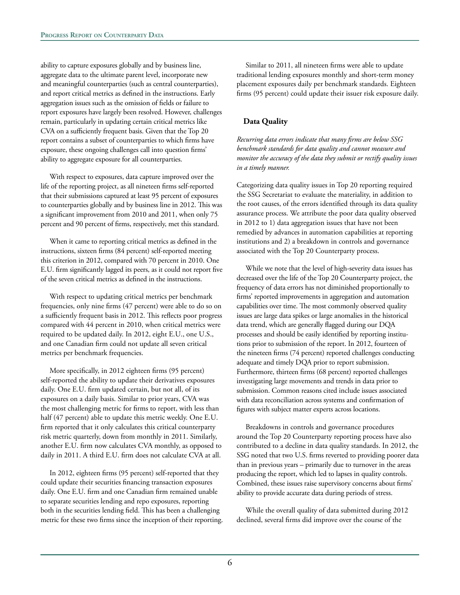ability to capture exposures globally and by business line, aggregate data to the ultimate parent level, incorporate new and meaningful counterparties (such as central counterparties), and report critical metrics as defined in the instructions. Early aggregation issues such as the omission of fields or failure to report exposures have largely been resolved. However, challenges remain, particularly in updating certain critical metrics like CVA on a sufficiently frequent basis. Given that the Top 20 report contains a subset of counterparties to which firms have exposure, these ongoing challenges call into question firms' ability to aggregate exposure for all counterparties.

With respect to exposures, data capture improved over the life of the reporting project, as all nineteen firms self-reported that their submissions captured at least 95 percent of exposures to counterparties globally and by business line in 2012. This was a significant improvement from 2010 and 2011, when only 75 percent and 90 percent of firms, respectively, met this standard.

When it came to reporting critical metrics as defined in the instructions, sixteen firms (84 percent) self-reported meeting this criterion in 2012, compared with 70 percent in 2010. One E.U. firm significantly lagged its peers, as it could not report five of the seven critical metrics as defined in the instructions.

With respect to updating critical metrics per benchmark frequencies, only nine firms (47 percent) were able to do so on a sufficiently frequent basis in 2012. This reflects poor progress compared with 44 percent in 2010, when critical metrics were required to be updated daily. In 2012, eight E.U., one U.S., and one Canadian firm could not update all seven critical metrics per benchmark frequencies.

More specifically, in 2012 eighteen firms (95 percent) self-reported the ability to update their derivatives exposures daily. One E.U. firm updated certain, but not all, of its exposures on a daily basis. Similar to prior years, CVA was the most challenging metric for firms to report, with less than half (47 percent) able to update this metric weekly. One E.U. firm reported that it only calculates this critical counterparty risk metric quarterly, down from monthly in 2011. Similarly, another E.U. firm now calculates CVA monthly, as opposed to daily in 2011. A third E.U. firm does not calculate CVA at all.

In 2012, eighteen firms (95 percent) self-reported that they could update their securities financing transaction exposures daily. One E.U. firm and one Canadian firm remained unable to separate securities lending and repo exposures, reporting both in the securities lending field. This has been a challenging metric for these two firms since the inception of their reporting.

Similar to 2011, all nineteen firms were able to update traditional lending exposures monthly and short-term money placement exposures daily per benchmark standards. Eighteen firms (95 percent) could update their issuer risk exposure daily.

### **Data Quality**

*Recurring data errors indicate that many firms are below SSG benchmark standards for data quality and cannot measure and monitor the accuracy of the data they submit or rectify quality issues in a timely manner.*

Categorizing data quality issues in Top 20 reporting required the SSG Secretariat to evaluate the materiality, in addition to the root causes, of the errors identified through its data quality assurance process. We attribute the poor data quality observed in 2012 to 1) data aggregation issues that have not been remedied by advances in automation capabilities at reporting institutions and 2) a breakdown in controls and governance associated with the Top 20 Counterparty process.

While we note that the level of high-severity data issues has decreased over the life of the Top 20 Counterparty project, the frequency of data errors has not diminished proportionally to firms' reported improvements in aggregation and automation capabilities over time. The most commonly observed quality issues are large data spikes or large anomalies in the historical data trend, which are generally flagged during our DQA processes and should be easily identified by reporting institutions prior to submission of the report. In 2012, fourteen of the nineteen firms (74 percent) reported challenges conducting adequate and timely DQA prior to report submission. Furthermore, thirteen firms (68 percent) reported challenges investigating large movements and trends in data prior to submission. Common reasons cited include issues associated with data reconciliation across systems and confirmation of figures with subject matter experts across locations.

Breakdowns in controls and governance procedures around the Top 20 Counterparty reporting process have also contributed to a decline in data quality standards. In 2012, the SSG noted that two U.S. firms reverted to providing poorer data than in previous years – primarily due to turnover in the areas producing the report, which led to lapses in quality controls. Combined, these issues raise supervisory concerns about firms' ability to provide accurate data during periods of stress.

While the overall quality of data submitted during 2012 declined, several firms did improve over the course of the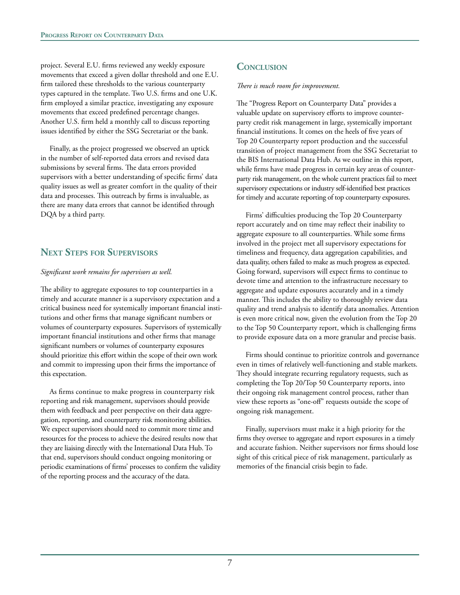project. Several E.U. firms reviewed any weekly exposure movements that exceed a given dollar threshold and one E.U. firm tailored these thresholds to the various counterparty types captured in the template. Two U.S. firms and one U.K. firm employed a similar practice, investigating any exposure movements that exceed predefined percentage changes. Another U.S. firm held a monthly call to discuss reporting issues identified by either the SSG Secretariat or the bank.

Finally, as the project progressed we observed an uptick in the number of self-reported data errors and revised data submissions by several firms. The data errors provided supervisors with a better understanding of specific firms' data quality issues as well as greater comfort in the quality of their data and processes. This outreach by firms is invaluable, as there are many data errors that cannot be identified through DQA by a third party.

## **Next Steps for Supervisors**

#### *Significant work remains for supervisors as well.*

The ability to aggregate exposures to top counterparties in a timely and accurate manner is a supervisory expectation and a critical business need for systemically important financial institutions and other firms that manage significant numbers or volumes of counterparty exposures. Supervisors of systemically important financial institutions and other firms that manage significant numbers or volumes of counterparty exposures should prioritize this effort within the scope of their own work and commit to impressing upon their firms the importance of this expectation.

As firms continue to make progress in counterparty risk reporting and risk management, supervisors should provide them with feedback and peer perspective on their data aggregation, reporting, and counterparty risk monitoring abilities. We expect supervisors should need to commit more time and resources for the process to achieve the desired results now that they are liaising directly with the International Data Hub. To that end, supervisors should conduct ongoing monitoring or periodic examinations of firms' processes to confirm the validity of the reporting process and the accuracy of the data.

## **Conclusion**

#### *There is much room for improvement.*

The "Progress Report on Counterparty Data" provides a valuable update on supervisory efforts to improve counterparty credit risk management in large, systemically important financial institutions. It comes on the heels of five years of Top 20 Counterparty report production and the successful transition of project management from the SSG Secretariat to the BIS International Data Hub. As we outline in this report, while firms have made progress in certain key areas of counterparty risk management, on the whole current practices fail to meet supervisory expectations or industry self-identified best practices for timely and accurate reporting of top counterparty exposures.

Firms' difficulties producing the Top 20 Counterparty report accurately and on time may reflect their inability to aggregate exposure to all counterparties. While some firms involved in the project met all supervisory expectations for timeliness and frequency, data aggregation capabilities, and data quality, others failed to make as much progress as expected. Going forward, supervisors will expect firms to continue to devote time and attention to the infrastructure necessary to aggregate and update exposures accurately and in a timely manner. This includes the ability to thoroughly review data quality and trend analysis to identify data anomalies. Attention is even more critical now, given the evolution from the Top 20 to the Top 50 Counterparty report, which is challenging firms to provide exposure data on a more granular and precise basis.

Firms should continue to prioritize controls and governance even in times of relatively well-functioning and stable markets. They should integrate recurring regulatory requests, such as completing the Top 20/Top 50 Counterparty reports, into their ongoing risk management control process, rather than view these reports as "one-off" requests outside the scope of ongoing risk management.

Finally, supervisors must make it a high priority for the firms they oversee to aggregate and report exposures in a timely and accurate fashion. Neither supervisors nor firms should lose sight of this critical piece of risk management, particularly as memories of the financial crisis begin to fade.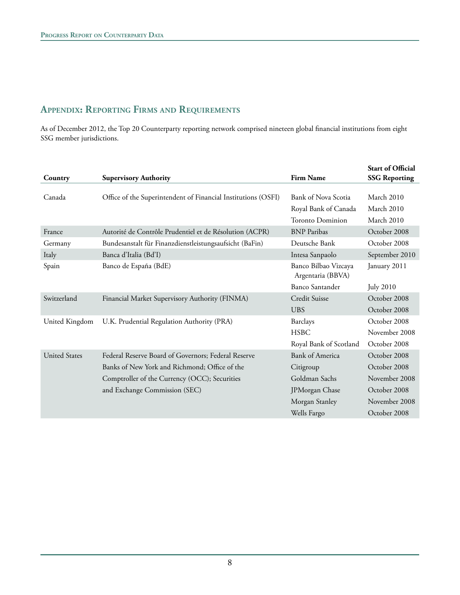# **Appendix: Reporting Firms and Requirements**

As of December 2012, the Top 20 Counterparty reporting network comprised nineteen global financial institutions from eight SSG member jurisdictions.

| Country              | <b>Supervisory Authority</b>                                  | <b>Firm Name</b>                          | <b>Start of Official</b><br><b>SSG Reporting</b> |
|----------------------|---------------------------------------------------------------|-------------------------------------------|--------------------------------------------------|
|                      |                                                               |                                           |                                                  |
| Canada               | Office of the Superintendent of Financial Institutions (OSFI) | Bank of Nova Scotia                       | March 2010                                       |
|                      |                                                               | Royal Bank of Canada                      | March 2010                                       |
|                      |                                                               | <b>Toronto Dominion</b>                   | March 2010                                       |
| France               | Autorité de Contrôle Prudentiel et de Résolution (ACPR)       | <b>BNP</b> Paribas                        | October 2008                                     |
| Germany              | Bundesanstalt für Finanzdienstleistungsaufsicht (BaFin)       | Deutsche Bank                             | October 2008                                     |
| Italy                | Banca d'Italia (Bd'I)                                         | Intesa Sanpaolo                           | September 2010                                   |
| Spain                | Banco de España (BdE)                                         | Banco Bilbao Vizcaya<br>Argentaria (BBVA) | January 2011                                     |
|                      |                                                               | <b>Banco Santander</b>                    | <b>July 2010</b>                                 |
| Switzerland          | Financial Market Supervisory Authority (FINMA)                | Credit Suisse                             | October 2008                                     |
|                      |                                                               | <b>UBS</b>                                | October 2008                                     |
| United Kingdom       | U.K. Prudential Regulation Authority (PRA)                    | Barclays                                  | October 2008                                     |
|                      |                                                               | <b>HSBC</b>                               | November 2008                                    |
|                      |                                                               | Royal Bank of Scotland                    | October 2008                                     |
| <b>United States</b> | Federal Reserve Board of Governors; Federal Reserve           | <b>Bank of America</b>                    | October 2008                                     |
|                      | Banks of New York and Richmond; Office of the                 | Citigroup                                 | October 2008                                     |
|                      | Comptroller of the Currency (OCC); Securities                 | Goldman Sachs                             | November 2008                                    |
|                      | and Exchange Commission (SEC)                                 | JPMorgan Chase                            | October 2008                                     |
|                      |                                                               | Morgan Stanley                            | November 2008                                    |
|                      |                                                               | Wells Fargo                               | October 2008                                     |